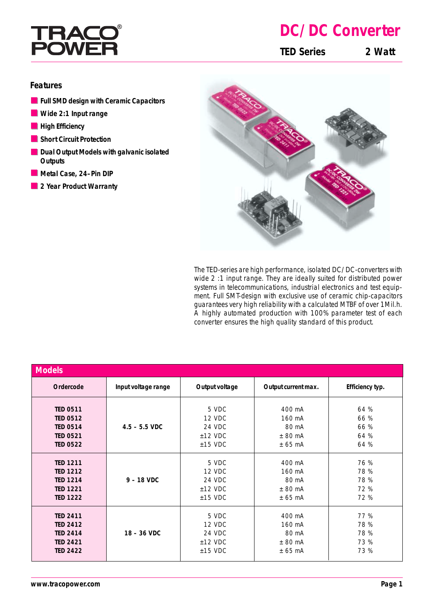

## **DC/DC Converter**

**TED Series 2 Watt**

## **Features**

- **Full SMD design with Ceramic Capacitors**
- **Wide 2:1 Input range**
- **High Efficiency**
- **Short Circuit Protection**
- **Dual Output Models with galvanic isolated Outputs**
- **Metal Case, 24–Pin DIP**
- **2 Year Product Warranty**



The TED-series are high performance, isolated DC/DC-converters with wide 2 :1 input range. They are ideally suited for distributed power systems in telecommunications, industrial electronics and test equipment. Full SMT-design with exclusive use of ceramic chip-capacitors guarantees very high reliability with a calculated MTBF of over 1Mil.h. A highly automated production with 100% parameter test of each converter ensures the high quality standard of this product.

| <b>Models</b>   |                     |                |                     |                 |  |
|-----------------|---------------------|----------------|---------------------|-----------------|--|
| Ordercode       | Input voltage range | Output voltage | Output current max. | Efficiency typ. |  |
| <b>TED 0511</b> | $4.5 - 5.5$ VDC     | 5 VDC          | 400 mA              | 64 %            |  |
| <b>TED 0512</b> |                     | 12 VDC         | 160 mA              | 66 %            |  |
| <b>TED 0514</b> |                     | 24 VDC         | 80 mA               | 66 %            |  |
| <b>TED 0521</b> |                     | $±12$ VDC      | ± 80 mA             | 64 %            |  |
| <b>TED 0522</b> |                     | $±15$ VDC      | ± 65 mA             | 64 %            |  |
| <b>TED 1211</b> | $9 - 18$ VDC        | 5 VDC          | 400 mA              | 76 %            |  |
| <b>TED 1212</b> |                     | 12 VDC         | 160 mA              | 78 %            |  |
| <b>TED 1214</b> |                     | 24 VDC         | 80 mA               | 78 %            |  |
| <b>TED 1221</b> |                     | $±12$ VDC      | ± 80 mA             | 72 %            |  |
| <b>TED 1222</b> |                     | $±15$ VDC      | $± 65$ mA           | 72 %            |  |
| <b>TED 2411</b> | $18 - 36$ VDC       | 5 VDC          | 400 mA              | 77 %            |  |
| <b>TED 2412</b> |                     | 12 VDC         | 160 mA              | 78 %            |  |
| <b>TED 2414</b> |                     | 24 VDC         | 80 mA               | 78 %            |  |
| <b>TED 2421</b> |                     | $±12$ VDC      | ± 80 mA             | 73 %            |  |
| <b>TED 2422</b> |                     | $±15$ VDC      | $± 65$ mA           | 73 %            |  |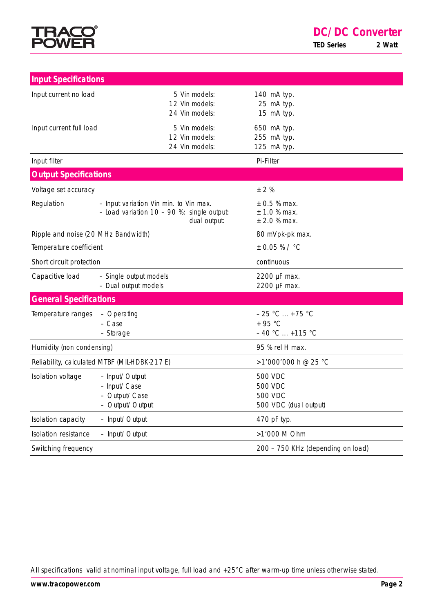

| <b>Input Specifications</b>                                                             |                                                                                                        |                                                                             |
|-----------------------------------------------------------------------------------------|--------------------------------------------------------------------------------------------------------|-----------------------------------------------------------------------------|
| Input current no load                                                                   | 5 Vin models:<br>12 Vin models:<br>24 Vin models:                                                      | 140 mA typ.<br>25 mA typ.<br>15 mA typ.                                     |
| Input current full load                                                                 | 5 Vin models:<br>12 Vin models:<br>24 Vin models:                                                      | 650 mA typ.<br>255 mA typ.<br>125 mA typ.                                   |
| Input filter                                                                            |                                                                                                        | Pi-Filter                                                                   |
| <b>Output Specifications</b>                                                            |                                                                                                        |                                                                             |
| Voltage set accuracy                                                                    |                                                                                                        | ± 2%                                                                        |
| Regulation                                                                              | - Input variation Vin min. to Vin max.<br>$-$ Load variation 10 - 90 %: single output:<br>dual output: | $\pm$ 0.5 % max.<br>± 1.0 % max.<br>$±$ 2.0 % max.                          |
| Ripple and noise (20 MHz Bandwidth)                                                     |                                                                                                        | 80 mVpk-pk max.                                                             |
| Temperature coefficient                                                                 |                                                                                                        | $± 0.05 %$ / °C                                                             |
| Short circuit protection                                                                |                                                                                                        | continuous                                                                  |
| Capacitive load                                                                         | - Single output models<br>- Dual output models                                                         | 2200 µF max.<br>2200 µF max.                                                |
| <b>General Specifications</b>                                                           |                                                                                                        |                                                                             |
| Temperature ranges                                                                      | - Operating<br>- Case<br>- Storage                                                                     | $-25 °C  + 75 °C$<br>$+95 °C$<br>$-40 °C  +115 °C$                          |
| Humidity (non condensing)                                                               |                                                                                                        | 95 % rel H max.                                                             |
| Reliability, calculated MTBF (MIL-HDBK-217E)                                            |                                                                                                        | >1'000'000 h @ 25 °C                                                        |
| Isolation voltage<br>- Input/Output<br>- Input/Case<br>- Output/Case<br>- Output/Output |                                                                                                        | <b>500 VDC</b><br><b>500 VDC</b><br><b>500 VDC</b><br>500 VDC (dual output) |
| Isolation capacity<br>- Input/Output                                                    |                                                                                                        | 470 pF typ.                                                                 |
| <b>Isolation resistance</b><br>- Input/Output                                           |                                                                                                        | >1'000 M Ohm                                                                |
| Switching frequency                                                                     |                                                                                                        | 200 - 750 KHz (depending on load)                                           |

All specifications valid at nominal input voltage, full load and +25°C after warm-up time unless otherwise stated.